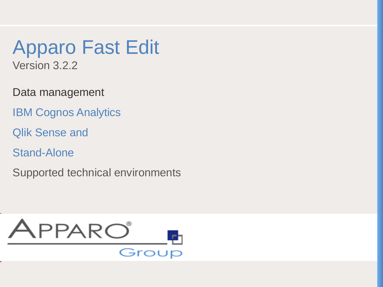Apparo Fast Edit

Version 3.2.2

Data management

IRM Cognos Apalytic IBM Cognos, SAP Business Object, SAP Business Object, SAS and Standard Standalone IBM Cognos Analytics

Quik Sense and **Contract technical environments** of the contract of the contract of the contract of the contract of the contract of the contract of the contract of the contract of the contract of the contract of the contra Qlik Sense and

Stand-Alone

Supported technical environments

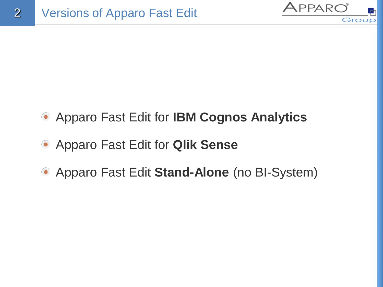

- Apparo Fast Edit for **IBM Cognos Analytics**
- Apparo Fast Edit for **Qlik Sense**
- Apparo Fast Edit **Stand-Alone** (no BI-System)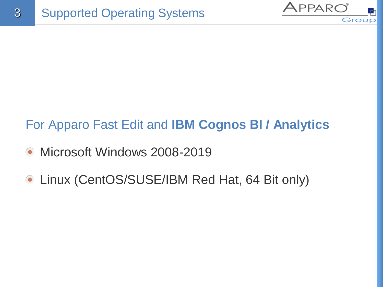

## For Apparo Fast Edit and **IBM Cognos BI / Analytics**

- Microsoft Windows 2008-2019  $\bullet$
- **Linux (CentOS/SUSE/IBM Red Hat, 64 Bit only)**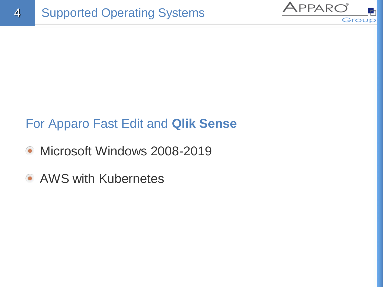

## For Apparo Fast Edit and **Qlik Sense**

- Microsoft Windows 2008-2019
- AWS with Kubernetes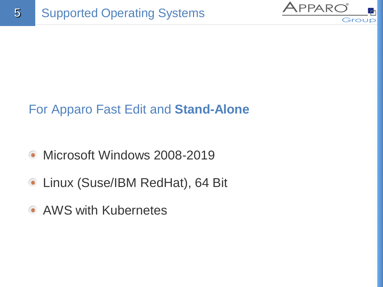

## For Apparo Fast Edit and **Stand-Alone**

- Microsoft Windows 2008-2019  $\bullet$
- Linux (Suse/IBM RedHat), 64 Bit
- AWS with Kubernetes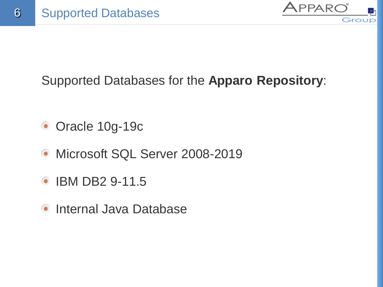

Supported Databases for the **Apparo Repository**:

- Oracle 10g-19c
- Microsoft SQL Server 2008-2019  $\bullet$
- IBM DB2 9-11.5  $\bullet$
- Internal Java Database  $\bullet$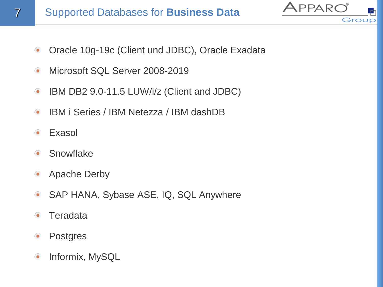

Oracle 10g-19c (Client und JDBC), Oracle Exadata  $\bullet$ 

APPARC

- Microsoft SQL Server 2008-2019  $\bullet$
- IBM DB2 9.0-11.5 LUW/i/z (Client and JDBC)  $\bullet$
- IBM i Series / IBM Netezza / IBM dashDB  $\bullet$
- Exasol
- **Snowflake**  $\bullet$
- Apache Derby  $\bullet$
- SAP HANA, Sybase ASE, IQ, SQL Anywhere  $\bullet$
- **Teradata**
- $\bullet$ **Postgres**
- Informix, MySQL  $\bullet$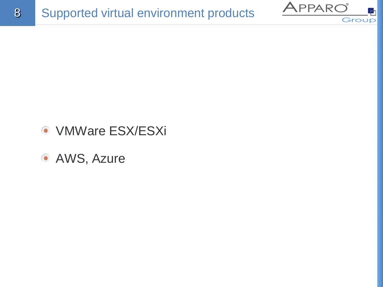



- **VMWare ESX/ESXi**
- **AWS, Azure**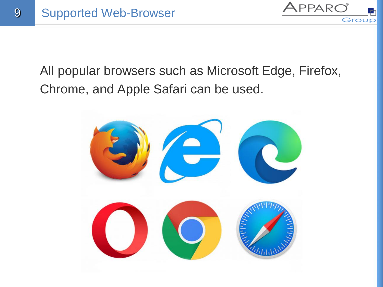

All popular browsers such as Microsoft Edge, Firefox, Chrome, and Apple Safari can be used.

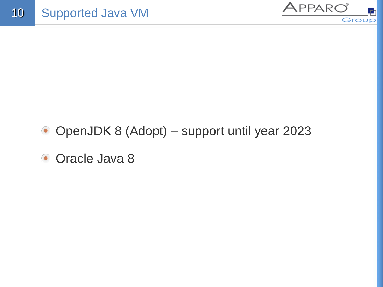

- OpenJDK 8 (Adopt) support until year 2023
- **Oracle Java 8**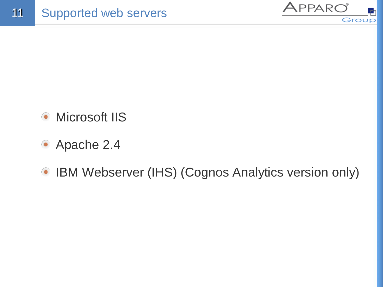

- Microsoft IIS  $\bullet$
- Apache 2.4
- IBM Webserver (IHS) (Cognos Analytics version only)  $\bullet$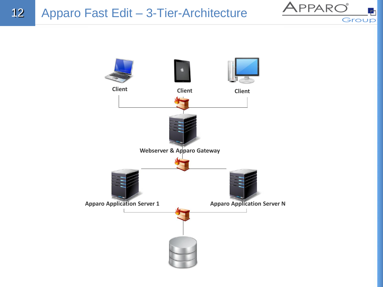

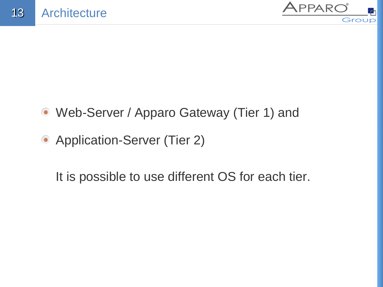

- Web-Server / Apparo Gateway (Tier 1) and
- Application-Server (Tier 2)

It is possible to use different OS for each tier.